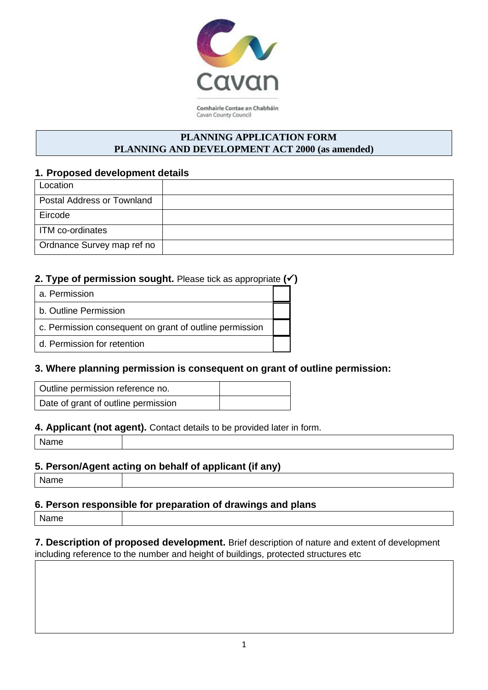

Comhairle Contae an Chabháin Cavan County Council

## **PLANNING APPLICATION FORM PLANNING AND DEVELOPMENT ACT 2000 (as amended)**

## **1. Proposed development details**

| Location                          |  |
|-----------------------------------|--|
| <b>Postal Address or Townland</b> |  |
| Eircode                           |  |
| ITM co-ordinates                  |  |
| Ordnance Survey map ref no        |  |

# **2. Type of permission sought.** Please tick as appropriate **(**✓**)**

a. Permission

b. Outline Permission

c. Permission consequent on grant of outline permission

d. Permission for retention

# **3. Where planning permission is consequent on grant of outline permission:**

| Outline permission reference no.    |  |
|-------------------------------------|--|
| Date of grant of outline permission |  |

### **4. Applicant (not agent).** Contact details to be provided later in form.

Name

# **5. Person/Agent acting on behalf of applicant (if any)**

| n<br>÷.<br>∽<br>× |  |
|-------------------|--|
|-------------------|--|

# **6. Person responsible for preparation of drawings and plans**

Name

**7. Description of proposed development.** Brief description of nature and extent of development including reference to the number and height of buildings, protected structures etc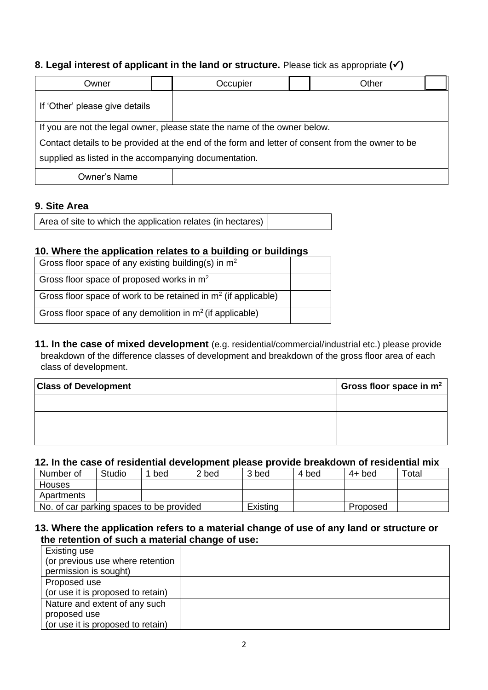# **8. Legal interest of applicant in the land or structure.** Please tick as appropriate **(**✓**)**

| Owner                                                                                            |  | Other<br>Occupier |  |  |  |
|--------------------------------------------------------------------------------------------------|--|-------------------|--|--|--|
| If 'Other' please give details                                                                   |  |                   |  |  |  |
| If you are not the legal owner, please state the name of the owner below.                        |  |                   |  |  |  |
| Contact details to be provided at the end of the form and letter of consent from the owner to be |  |                   |  |  |  |
| supplied as listed in the accompanying documentation.                                            |  |                   |  |  |  |
| Owner's Name                                                                                     |  |                   |  |  |  |

#### **9. Site Area**

Area of site to which the application relates (in hectares)

### **10. Where the application relates to a building or buildings**

| Gross floor space of any existing building(s) in $m2$            |  |
|------------------------------------------------------------------|--|
| Gross floor space of proposed works in m <sup>2</sup>            |  |
| Gross floor space of work to be retained in $m2$ (if applicable) |  |
| Gross floor space of any demolition in $m2$ (if applicable)      |  |

**11. In the case of mixed development** (e.g. residential/commercial/industrial etc.) please provide breakdown of the difference classes of development and breakdown of the gross floor area of each class of development.

| <b>Class of Development</b> | Gross floor space in $m^2$ |
|-----------------------------|----------------------------|
|                             |                            |
|                             |                            |
|                             |                            |

#### **12. In the case of residential development please provide breakdown of residential mix**

| Number of                                | Studio | bed      | 2 bed | 3 bed    | 4 bed | 4+ bed | Total |
|------------------------------------------|--------|----------|-------|----------|-------|--------|-------|
| Houses                                   |        |          |       |          |       |        |       |
| Apartments                               |        |          |       |          |       |        |       |
| No. of car parking spaces to be provided |        | Existing |       | Proposed |       |        |       |

### **13. Where the application refers to a material change of use of any land or structure or the retention of such a material change of use:**

| Existing use                      |  |
|-----------------------------------|--|
| (or previous use where retention  |  |
| permission is sought)             |  |
| Proposed use                      |  |
| (or use it is proposed to retain) |  |
| Nature and extent of any such     |  |
| proposed use                      |  |
| (or use it is proposed to retain) |  |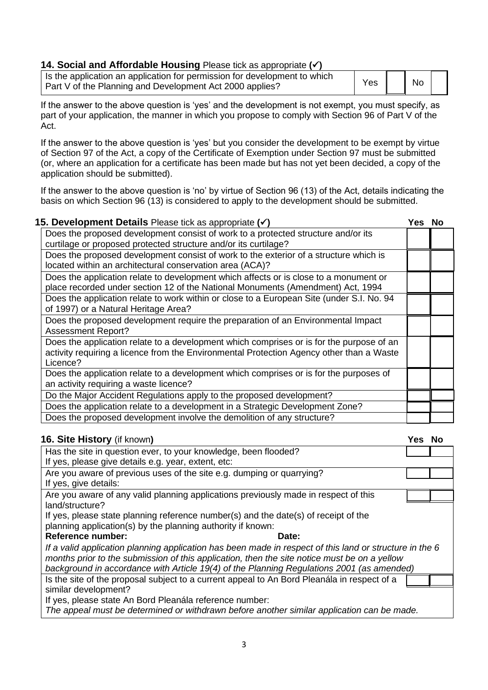### **14. Social and Affordable Housing** Please tick as appropriate **(**✓**)**

| Is the application an application for permission for development to which<br>Part V of the Planning and Development Act 2000 applies? | Yes | No |  |
|---------------------------------------------------------------------------------------------------------------------------------------|-----|----|--|
|                                                                                                                                       |     |    |  |

If the answer to the above question is 'yes' and the development is not exempt, you must specify, as part of your application, the manner in which you propose to comply with Section 96 of Part V of the Act.

If the answer to the above question is 'yes' but you consider the development to be exempt by virtue of Section 97 of the Act, a copy of the Certificate of Exemption under Section 97 must be submitted (or, where an application for a certificate has been made but has not yet been decided, a copy of the application should be submitted).

If the answer to the above question is 'no' by virtue of Section 96 (13) of the Act, details indicating the basis on which Section 96 (13) is considered to apply to the development should be submitted.

| 15. Development Details Please tick as appropriate (v)                                    | Yes No |  |
|-------------------------------------------------------------------------------------------|--------|--|
| Does the proposed development consist of work to a protected structure and/or its         |        |  |
| curtilage or proposed protected structure and/or its curtilage?                           |        |  |
| Does the proposed development consist of work to the exterior of a structure which is     |        |  |
| located within an architectural conservation area (ACA)?                                  |        |  |
| Does the application relate to development which affects or is close to a monument or     |        |  |
| place recorded under section 12 of the National Monuments (Amendment) Act, 1994           |        |  |
| Does the application relate to work within or close to a European Site (under S.I. No. 94 |        |  |
| of 1997) or a Natural Heritage Area?                                                      |        |  |
| Does the proposed development require the preparation of an Environmental Impact          |        |  |
| <b>Assessment Report?</b>                                                                 |        |  |
| Does the application relate to a development which comprises or is for the purpose of an  |        |  |
| activity requiring a licence from the Environmental Protection Agency other than a Waste  |        |  |
| Licence?                                                                                  |        |  |
| Does the application relate to a development which comprises or is for the purposes of    |        |  |
| an activity requiring a waste licence?                                                    |        |  |
| Do the Major Accident Regulations apply to the proposed development?                      |        |  |
| Does the application relate to a development in a Strategic Development Zone?             |        |  |
| Does the proposed development involve the demolition of any structure?                    |        |  |

| 16. Site History (if known)                                                                             | Yes No |  |
|---------------------------------------------------------------------------------------------------------|--------|--|
| Has the site in question ever, to your knowledge, been flooded?                                         |        |  |
| If yes, please give details e.g. year, extent, etc:                                                     |        |  |
| Are you aware of previous uses of the site e.g. dumping or quarrying?                                   |        |  |
| If yes, give details:                                                                                   |        |  |
| Are you aware of any valid planning applications previously made in respect of this                     |        |  |
| land/structure?                                                                                         |        |  |
| If yes, please state planning reference number(s) and the date(s) of receipt of the                     |        |  |
| planning application(s) by the planning authority if known:                                             |        |  |
| <b>Reference number:</b><br>Date:                                                                       |        |  |
| If a valid application planning application has been made in respect of this land or structure in the 6 |        |  |
| months prior to the submission of this application, then the site notice must be on a yellow            |        |  |
| background in accordance with Article 19(4) of the Planning Regulations 2001 (as amended)               |        |  |
| Is the site of the proposal subject to a current appeal to An Bord Pleanála in respect of a             |        |  |
| similar development?                                                                                    |        |  |
| If yes, please state An Bord Pleanála reference number:                                                 |        |  |
| The appeal must be determined or withdrawn before another similar application can be made.              |        |  |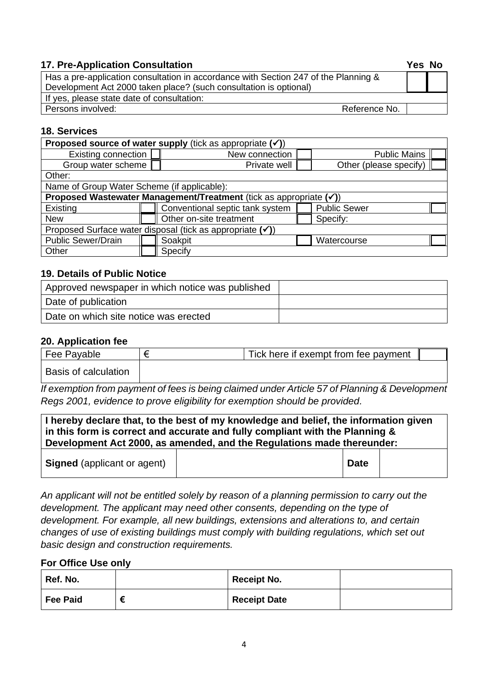### **17. Pre-Application Consultation Yes No**

| Has a pre-application consultation in accordance with Section 247 of the Planning & |               |  |
|-------------------------------------------------------------------------------------|---------------|--|
| Development Act 2000 taken place? (such consultation is optional)                   |               |  |
| If yes, please state date of consultation:                                          |               |  |
| Persons involved:                                                                   | Reference No. |  |

## **18. Services**

| <b>Proposed source of water supply (tick as appropriate <math>(\checkmark)</math>)</b> |                                       |                                                        |  |                        |  |
|----------------------------------------------------------------------------------------|---------------------------------------|--------------------------------------------------------|--|------------------------|--|
| <b>Existing connection</b>                                                             | <b>Public Mains</b><br>New connection |                                                        |  |                        |  |
| Group water scheme                                                                     |                                       | Private well                                           |  | Other (please specify) |  |
| Other:                                                                                 |                                       |                                                        |  |                        |  |
| Name of Group Water Scheme (if applicable):                                            |                                       |                                                        |  |                        |  |
| Proposed Wastewater Management/Treatment (tick as appropriate $(v)$ )                  |                                       |                                                        |  |                        |  |
| Existing                                                                               |                                       | Conventional septic tank system<br><b>Public Sewer</b> |  |                        |  |
| <b>New</b>                                                                             |                                       | Other on-site treatment<br>Specify:                    |  |                        |  |
| Proposed Surface water disposal (tick as appropriate $(\checkmark)$ )                  |                                       |                                                        |  |                        |  |
| <b>Public Sewer/Drain</b>                                                              |                                       | Soakpit<br>Watercourse                                 |  |                        |  |
| Other                                                                                  |                                       | Specify                                                |  |                        |  |

## **19. Details of Public Notice**

| Approved newspaper in which notice was published |  |
|--------------------------------------------------|--|
| Date of publication                              |  |
| Date on which site notice was erected            |  |

### **20. Application fee**

| Fee Payable          | Tick here if exempt from fee payment |  |
|----------------------|--------------------------------------|--|
| Basis of calculation |                                      |  |

*If exemption from payment of fees is being claimed under Article 57 of Planning & Development Regs 2001, evidence to prove eligibility for exemption should be provided.*

| I hereby declare that, to the best of my knowledge and belief, the information given<br>in this form is correct and accurate and fully compliant with the Planning &<br>Development Act 2000, as amended, and the Regulations made thereunder: |  |             |  |
|------------------------------------------------------------------------------------------------------------------------------------------------------------------------------------------------------------------------------------------------|--|-------------|--|
| <b>Signed</b> (applicant or agent)                                                                                                                                                                                                             |  | <b>Date</b> |  |

*An applicant will not be entitled solely by reason of a planning permission to carry out the development. The applicant may need other consents, depending on the type of development. For example, all new buildings, extensions and alterations to, and certain changes of use of existing buildings must comply with building regulations, which set out basic design and construction requirements.*

### **For Office Use only**

| Ref. No. | <b>Receipt No.</b>  |  |
|----------|---------------------|--|
| Fee Paid | <b>Receipt Date</b> |  |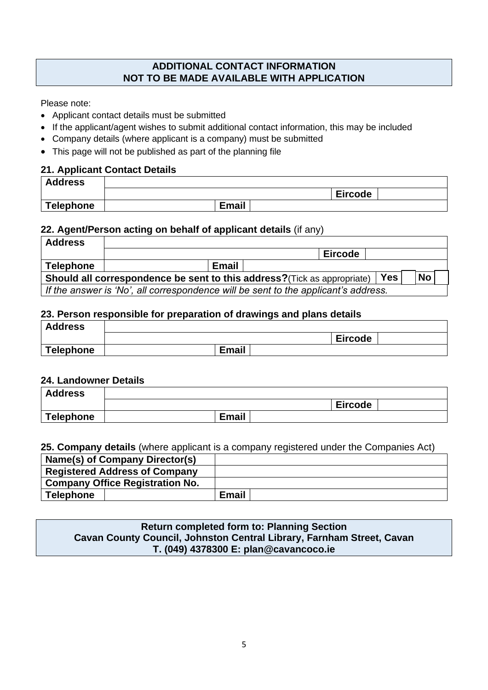## **ADDITIONAL CONTACT INFORMATION NOT TO BE MADE AVAILABLE WITH APPLICATION**

Please note:

- Applicant contact details must be submitted
- If the applicant/agent wishes to submit additional contact information, this may be included
- Company details (where applicant is a company) must be submitted
- This page will not be published as part of the planning file

#### **21. Applicant Contact Details**

| <b>Address</b> |              |                |  |
|----------------|--------------|----------------|--|
|                |              | <b>Eircode</b> |  |
| Telephone      | <b>Email</b> |                |  |

#### **22. Agent/Person acting on behalf of applicant details** (if any)

| <b>Address</b>                                                                                      |  |              |  |                |  |  |
|-----------------------------------------------------------------------------------------------------|--|--------------|--|----------------|--|--|
|                                                                                                     |  |              |  | <b>Eircode</b> |  |  |
| <b>Telephone</b>                                                                                    |  | <b>Email</b> |  |                |  |  |
| <b>No</b><br><b>Yes</b><br>Should all correspondence be sent to this address? (Tick as appropriate) |  |              |  |                |  |  |
| If the answer is 'No', all correspondence will be sent to the applicant's address.                  |  |              |  |                |  |  |

#### **23. Person responsible for preparation of drawings and plans details**

| <b>Address</b> |              |                |  |
|----------------|--------------|----------------|--|
|                |              | <b>Eircode</b> |  |
| Telephone      | <b>Email</b> |                |  |

#### **24. Landowner Details**

| <b>Address</b>   |              |                |  |
|------------------|--------------|----------------|--|
|                  |              | <b>Eircode</b> |  |
| <b>Telephone</b> | <b>Email</b> |                |  |

#### **25. Company details** (where applicant is a company registered under the Companies Act)

| Name(s) of Company Director(s)         |              |
|----------------------------------------|--------------|
| <b>Registered Address of Company</b>   |              |
| <b>Company Office Registration No.</b> |              |
| Telephone                              | <b>Email</b> |

## **Return completed form to: Planning Section Cavan County Council, Johnston Central Library, Farnham Street, Cavan T. (049) 4378300 E: plan@cavancoco.ie**